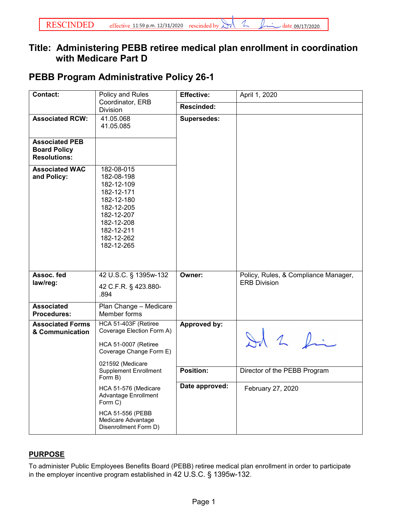## **Title: Administering PEBB retiree medical plan enrollment in coordination with Medicare Part D**

## **PEBB Program Administrative Policy 26-1**

| <b>Contact:</b>                                                     | Policy and Rules                                                                                                                                       |                    | April 1, 2020                                               |
|---------------------------------------------------------------------|--------------------------------------------------------------------------------------------------------------------------------------------------------|--------------------|-------------------------------------------------------------|
| Coordinator, ERB<br>Division                                        |                                                                                                                                                        | <b>Rescinded:</b>  |                                                             |
| <b>Associated RCW:</b>                                              | 41.05.068<br>41.05.085                                                                                                                                 | <b>Supersedes:</b> |                                                             |
| <b>Associated PEB</b><br><b>Board Policy</b><br><b>Resolutions:</b> |                                                                                                                                                        |                    |                                                             |
| <b>Associated WAC</b><br>and Policy:                                | 182-08-015<br>182-08-198<br>182-12-109<br>182-12-171<br>182-12-180<br>182-12-205<br>182-12-207<br>182-12-208<br>182-12-211<br>182-12-262<br>182-12-265 |                    |                                                             |
| Assoc. fed<br>law/reg:                                              | 42 U.S.C. § 1395w-132<br>42 C.F.R. § 423.880-<br>.894                                                                                                  | Owner:             | Policy, Rules, & Compliance Manager,<br><b>ERB Division</b> |
| <b>Associated</b><br><b>Procedures:</b>                             | Plan Change - Medicare<br>Member forms                                                                                                                 |                    |                                                             |
| <b>Associated Forms</b><br>& Communication                          | HCA 51-403F (Retiree<br>Coverage Election Form A)<br>HCA 51-0007 (Retiree<br>Coverage Change Form E)<br>021592 (Medicare                               | Approved by:       | Id 2 fin                                                    |
|                                                                     | <b>Supplement Enrollment</b><br>Form B)                                                                                                                | Position:          | Director of the PEBB Program                                |
|                                                                     | HCA 51-576 (Medicare<br>Advantage Enrollment<br>Form C)                                                                                                | Date approved:     | February 27, 2020                                           |
|                                                                     | <b>HCA 51-556 (PEBB</b><br>Medicare Advantage<br>Disenrollment Form D)                                                                                 |                    |                                                             |

## **PURPOSE**

To administer Public Employees Benefits Board (PEBB) retiree medical plan enrollment in order to participate in the employer incentive program established in 42 U.S.C. § 1395w-132.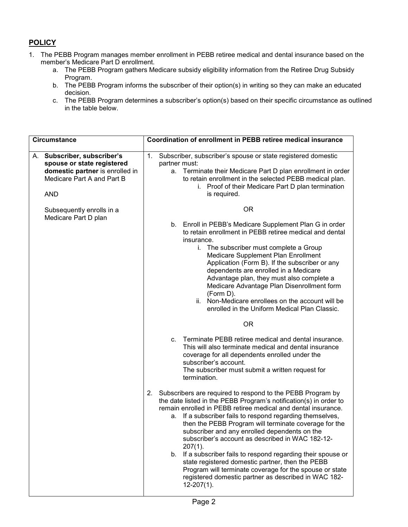## **POLICY**

- 1. The PEBB Program manages member enrollment in PEBB retiree medical and dental insurance based on the member's Medicare Part D enrollment.
	- a. The PEBB Program gathers Medicare subsidy eligibility information from the Retiree Drug Subsidy Program.
	- b. The PEBB Program informs the subscriber of their option(s) in writing so they can make an educated decision.
	- c. The PEBB Program determines a subscriber's option(s) based on their specific circumstance as outlined in the table below.

| <b>Circumstance</b> |                                                                                                                                          | Coordination of enrollment in PEBB retiree medical insurance                                                                                                                                                                                                                        |                                                                                                                                                                                                                                                                                                                                                                                                                                                                                                                                                                                                                                                                                                                                                                     |  |
|---------------------|------------------------------------------------------------------------------------------------------------------------------------------|-------------------------------------------------------------------------------------------------------------------------------------------------------------------------------------------------------------------------------------------------------------------------------------|---------------------------------------------------------------------------------------------------------------------------------------------------------------------------------------------------------------------------------------------------------------------------------------------------------------------------------------------------------------------------------------------------------------------------------------------------------------------------------------------------------------------------------------------------------------------------------------------------------------------------------------------------------------------------------------------------------------------------------------------------------------------|--|
|                     | A. Subscriber, subscriber's<br>spouse or state registered<br>domestic partner is enrolled in<br>Medicare Part A and Part B<br><b>AND</b> | Subscriber, subscriber's spouse or state registered domestic<br>1.<br>partner must:<br>a. Terminate their Medicare Part D plan enrollment in order<br>to retain enrollment in the selected PEBB medical plan.<br>i. Proof of their Medicare Part D plan termination<br>is required. |                                                                                                                                                                                                                                                                                                                                                                                                                                                                                                                                                                                                                                                                                                                                                                     |  |
|                     | Subsequently enrolls in a<br>Medicare Part D plan                                                                                        | $C_{\cdot}$                                                                                                                                                                                                                                                                         | 0R<br>b. Enroll in PEBB's Medicare Supplement Plan G in order<br>to retain enrollment in PEBB retiree medical and dental<br>insurance.<br>i. The subscriber must complete a Group<br>Medicare Supplement Plan Enrollment<br>Application (Form B). If the subscriber or any<br>dependents are enrolled in a Medicare<br>Advantage plan, they must also complete a<br>Medicare Advantage Plan Disenrollment form<br>(Form D).<br>ii. Non-Medicare enrollees on the account will be<br>enrolled in the Uniform Medical Plan Classic.<br><b>OR</b><br>Terminate PEBB retiree medical and dental insurance.<br>This will also terminate medical and dental insurance<br>coverage for all dependents enrolled under the<br>subscriber's account.                          |  |
|                     |                                                                                                                                          | 2.<br>а.                                                                                                                                                                                                                                                                            | The subscriber must submit a written request for<br>termination.<br>Subscribers are required to respond to the PEBB Program by<br>the date listed in the PEBB Program's notification(s) in order to<br>remain enrolled in PEBB retiree medical and dental insurance.<br>If a subscriber fails to respond regarding themselves,<br>then the PEBB Program will terminate coverage for the<br>subscriber and any enrolled dependents on the<br>subscriber's account as described in WAC 182-12-<br>$207(1)$ .<br>b. If a subscriber fails to respond regarding their spouse or<br>state registered domestic partner, then the PEBB<br>Program will terminate coverage for the spouse or state<br>registered domestic partner as described in WAC 182-<br>$12-207(1)$ . |  |